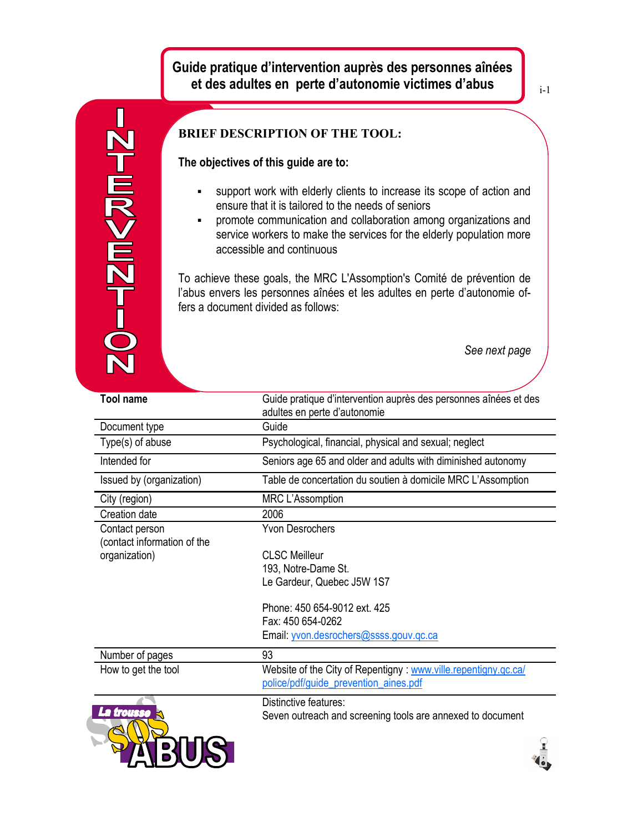# **Guide pratique d'intervention auprès des personnes aînées et des adultes en perte d'autonomie victimes d'abus**

i-1

**BRIEF DESCRIPTION OF THE TOOL:** n<br>E **The objectives of this guide are to:** support work with elderly clients to increase its scope of action and -- 7M<br/> ensure that it is tailored to the needs of seniors promote communication and collaboration among organizations and service workers to make the services for the elderly population more accessible and continuous To achieve these goals, the MRC L'Assomption's Comité de prévention de l'abus envers les personnes aînées et les adultes en perte d'autonomie offers a document divided as follows: *See next page* **Tool name** Guide pratique d'intervention auprès des personnes aînées et des adultes en perte d'autonomie Document type Guide Type(s) of abuse Psychological, financial, physical and sexual; neglect Intended for Seniors age 65 and older and adults with diminished autonomy Issued by (organization) Table de concertation du soutien à domicile MRC L'Assomption City (region) MRC L'Assomption Creation date 2006 Yvon Desrochers Contact person (contact information of the CLSC Meilleur organization) 193, Notre-Dame St. Le Gardeur, Quebec J5W 1S7 Phone: 450 654-9012 ext. 425 Fax: 450 654-0262 Email: [yvon.desrochers@ssss.gouv.qc.ca](file:///I:/Administrator/Local%20Settings/Temp/Temporary%20Directory%206%20for%2014%20dec%20part%202.zip/yvon.desrochers@ssss.gouv.qc.ca) Number of pages 93 How to get the tool Website of the City of Repentigny : www.ville.repentigny.qc.cal [police/pdf/guide\\_prevention\\_aines.pdf](file:///I:/Administrator/Local%20Settings/Temp/Temporary%20Directory%206%20for%2014%20dec%20part%202.zip/www.ville.repentigny.qc.ca/police/pdf/guide_prevention_aines.pdf) Distinctive features: Seven outreach and screening tools are annexed to document